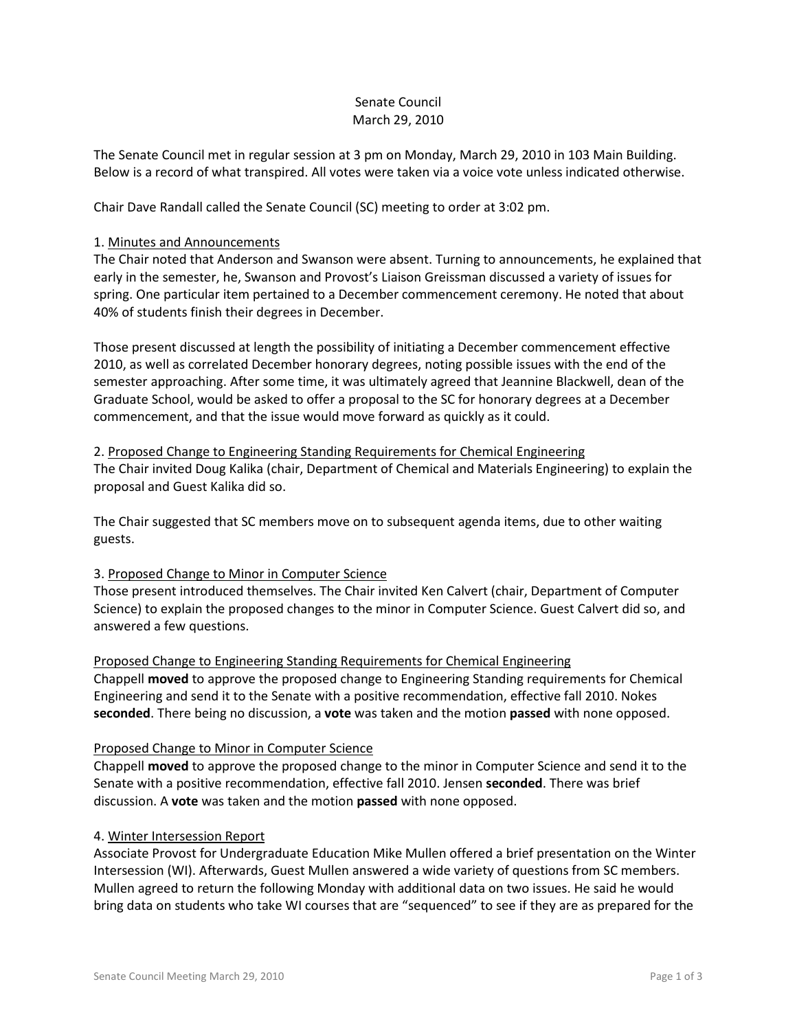## Senate Council March 29, 2010

The Senate Council met in regular session at 3 pm on Monday, March 29, 2010 in 103 Main Building. Below is a record of what transpired. All votes were taken via a voice vote unless indicated otherwise.

Chair Dave Randall called the Senate Council (SC) meeting to order at 3:02 pm.

#### 1. Minutes and Announcements

The Chair noted that Anderson and Swanson were absent. Turning to announcements, he explained that early in the semester, he, Swanson and Provost's Liaison Greissman discussed a variety of issues for spring. One particular item pertained to a December commencement ceremony. He noted that about 40% of students finish their degrees in December.

Those present discussed at length the possibility of initiating a December commencement effective 2010, as well as correlated December honorary degrees, noting possible issues with the end of the semester approaching. After some time, it was ultimately agreed that Jeannine Blackwell, dean of the Graduate School, would be asked to offer a proposal to the SC for honorary degrees at a December commencement, and that the issue would move forward as quickly as it could.

2. Proposed Change to Engineering Standing Requirements for Chemical Engineering The Chair invited Doug Kalika (chair, Department of Chemical and Materials Engineering) to explain the proposal and Guest Kalika did so.

The Chair suggested that SC members move on to subsequent agenda items, due to other waiting guests.

## 3. Proposed Change to Minor in Computer Science

Those present introduced themselves. The Chair invited Ken Calvert (chair, Department of Computer Science) to explain the proposed changes to the minor in Computer Science. Guest Calvert did so, and answered a few questions.

Proposed Change to Engineering Standing Requirements for Chemical Engineering Chappell **moved** to approve the proposed change to Engineering Standing requirements for Chemical Engineering and send it to the Senate with a positive recommendation, effective fall 2010. Nokes **seconded**. There being no discussion, a **vote** was taken and the motion **passed** with none opposed.

## Proposed Change to Minor in Computer Science

Chappell **moved** to approve the proposed change to the minor in Computer Science and send it to the Senate with a positive recommendation, effective fall 2010. Jensen **seconded**. There was brief discussion. A **vote** was taken and the motion **passed** with none opposed.

## 4. Winter Intersession Report

Associate Provost for Undergraduate Education Mike Mullen offered a brief presentation on the Winter Intersession (WI). Afterwards, Guest Mullen answered a wide variety of questions from SC members. Mullen agreed to return the following Monday with additional data on two issues. He said he would bring data on students who take WI courses that are "sequenced" to see if they are as prepared for the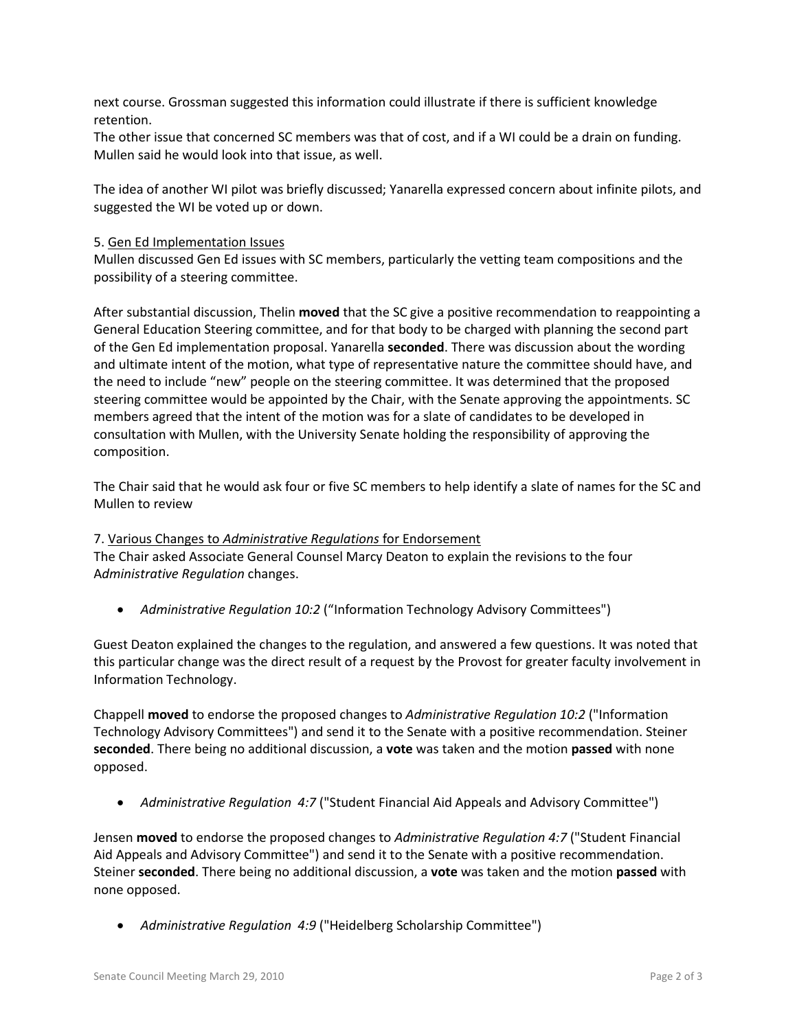next course. Grossman suggested this information could illustrate if there is sufficient knowledge retention.

The other issue that concerned SC members was that of cost, and if a WI could be a drain on funding. Mullen said he would look into that issue, as well.

The idea of another WI pilot was briefly discussed; Yanarella expressed concern about infinite pilots, and suggested the WI be voted up or down.

#### 5. Gen Ed Implementation Issues

Mullen discussed Gen Ed issues with SC members, particularly the vetting team compositions and the possibility of a steering committee.

After substantial discussion, Thelin **moved** that the SC give a positive recommendation to reappointing a General Education Steering committee, and for that body to be charged with planning the second part of the Gen Ed implementation proposal. Yanarella **seconded**. There was discussion about the wording and ultimate intent of the motion, what type of representative nature the committee should have, and the need to include "new" people on the steering committee. It was determined that the proposed steering committee would be appointed by the Chair, with the Senate approving the appointments. SC members agreed that the intent of the motion was for a slate of candidates to be developed in consultation with Mullen, with the University Senate holding the responsibility of approving the composition.

The Chair said that he would ask four or five SC members to help identify a slate of names for the SC and Mullen to review

## 7. Various Changes to *Administrative Regulations* for Endorsement

The Chair asked Associate General Counsel Marcy Deaton to explain the revisions to the four A*dministrative Regulation* changes.

• *Administrative Regulation 10:2* ("Information Technology Advisory Committees")

Guest Deaton explained the changes to the regulation, and answered a few questions. It was noted that this particular change was the direct result of a request by the Provost for greater faculty involvement in Information Technology.

Chappell **moved** to endorse the proposed changes to *Administrative Regulation 10:2* ("Information Technology Advisory Committees") and send it to the Senate with a positive recommendation. Steiner **seconded**. There being no additional discussion, a **vote** was taken and the motion **passed** with none opposed.

• *Administrative Regulation 4:7* ("Student Financial Aid Appeals and Advisory Committee")

Jensen **moved** to endorse the proposed changes to *Administrative Regulation 4:7* ("Student Financial Aid Appeals and Advisory Committee") and send it to the Senate with a positive recommendation. Steiner **seconded**. There being no additional discussion, a **vote** was taken and the motion **passed** with none opposed.

• *Administrative Regulation 4:9* ("Heidelberg Scholarship Committee")